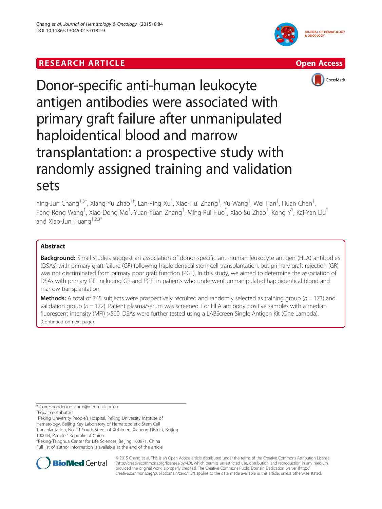## **RESEARCH ARTICLE Example 2014 CONSIDERING A RESEARCH ARTICLE**







# Donor-specific anti-human leukocyte antigen antibodies were associated with primary graft failure after unmanipulated haploidentical blood and marrow transplantation: a prospective study with randomly assigned training and validation sets

Ying-Jun Chang<sup>1,3†</sup>, Xiang-Yu Zhao<sup>1†</sup>, Lan-Ping Xu<sup>1</sup>, Xiao-Hui Zhang<sup>1</sup>, Yu Wang<sup>1</sup>, Wei Han<sup>1</sup>, Huan Chen<sup>1</sup> , Feng-Rong Wang<sup>1</sup>, Xiao-Dong Mo<sup>1</sup>, Yuan-Yuan Zhang<sup>1</sup>, Ming-Rui Huo<sup>1</sup>, Xiao-Su Zhao<sup>1</sup>, Kong Y<sup>1</sup>, Kai-Yan Liu<sup>1</sup> and Xiao-Jun Huang $1,2,3^*$ 

## Abstract

**Background:** Small studies suggest an association of donor-specific anti-human leukocyte antigen (HLA) antibodies (DSAs) with primary graft failure (GF) following haploidentical stem cell transplantation, but primary graft rejection (GR) was not discriminated from primary poor graft function (PGF). In this study, we aimed to determine the association of DSAs with primary GF, including GR and PGF, in patients who underwent unmanipulated haploidentical blood and marrow transplantation.

**Methods:** A total of 345 subjects were prospectively recruited and randomly selected as training group ( $n = 173$ ) and validation group ( $n = 172$ ). Patient plasma/serum was screened. For HLA antibody positive samples with a median fluorescent intensity (MFI) >500, DSAs were further tested using a LABScreen Single Antigen Kit (One Lambda). (Continued on next page)

\* Correspondence: [xjhrm@medmail.com.cn](mailto:xjhrm@medmail.com.cn) †

<sup>1</sup>Peking University People's Hospital, Peking University Institute of

Hematology, Beijing Key Laboratory of Hematopoietic Stem Cell Transplantation, No. 11 South Street of Xizhimen, Xicheng District, Beijing

<sup>2</sup>Peking-Tsinghua Center for Life Sciences, Beijing 100871, China Full list of author information is available at the end of the article



© 2015 Chang et al. This is an Open Access article distributed under the terms of the Creative Commons Attribution License [\(http://creativecommons.org/licenses/by/4.0\)](http://creativecommons.org/licenses/by/4.0), which permits unrestricted use, distribution, and reproduction in any medium, provided the original work is properly credited. The Creative Commons Public Domain Dedication waiver [\(http://](http://creativecommons.org/publicdomain/zero/1.0/) [creativecommons.org/publicdomain/zero/1.0/\)](http://creativecommons.org/publicdomain/zero/1.0/) applies to the data made available in this article, unless otherwise stated.

Equal contributors

<sup>100044,</sup> Peoples' Republic of China <sup>2</sup>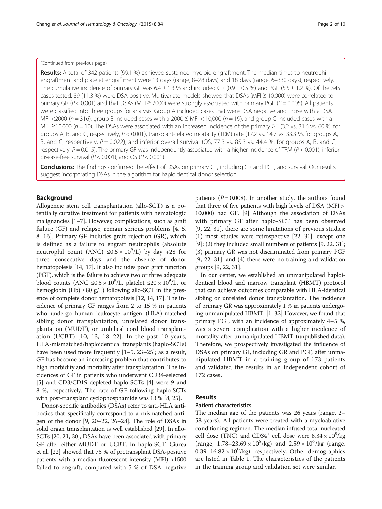## (Continued from previous page)

Results: A total of 342 patients (99.1 %) achieved sustained myeloid engraftment. The median times to neutrophil engraftment and platelet engraftment were 13 days (range, 8–28 days) and 18 days (range, 6–330 days), respectively. The cumulative incidence of primary GF was  $6.4 \pm 1.3$  % and included GR (0.9  $\pm$  0.5 %) and PGF (5.5  $\pm$  1.2 %). Of the 345 cases tested, 39 (11.3 %) were DSA positive. Multivariate models showed that DSAs (MFI ≥ 10,000) were correlated to primary GR ( $P < 0.001$ ) and that DSAs (MFI  $\geq$  2000) were strongly associated with primary PGF ( $P = 0.005$ ). All patients were classified into three groups for analysis. Group A included cases that were DSA negative and those with a DSA MFI <2000 ( $n = 316$ ), group B included cases with a 2000  $\leq$  MFI < 10,000 ( $n = 19$ ), and group C included cases with a MFI  $\geq$ 10,000 ( $n = 10$ ). The DSAs were associated with an increased incidence of the primary GF (3.2 vs. 31.6 vs. 60 %, for groups A, B, and C, respectively, P < 0.001), transplant-related mortality (TRM) rate (17.2 vs. 14.7 vs. 33.3 %, for groups A, B, and C, respectively,  $P = 0.022$ ), and inferior overall survival (OS, 77.3 vs. 85.3 vs. 44.4 %, for groups A, B, and C, respectively,  $P = 0.015$ ). The primary GF was independently associated with a higher incidence of TRM ( $P < 0.001$ ), inferior disease-free survival ( $P < 0.001$ ), and OS ( $P < 0.001$ ).

Conclusions: The findings confirmed the effect of DSAs on primary GF, including GR and PGF, and survival. Our results suggest incorporating DSAs in the algorithm for haploidentical donor selection.

## Background

Allogeneic stem cell transplantation (allo-SCT) is a potentially curative treatment for patients with hematologic malignancies [\[1](#page-8-0)–[7](#page-8-0)]. However, complications, such as graft failure (GF) and relapse, remain serious problems [[4, 5](#page-8-0), [8](#page-8-0)–[16\]](#page-8-0). Primary GF includes graft rejection (GR), which is defined as a failure to engraft neutrophils (absolute neutrophil count (ANC)  $\leq 0.5 \times 10^9$ /L) by day +28 for three consecutive days and the absence of donor hematopoiesis [[14](#page-8-0), [17\]](#page-8-0). It also includes poor graft function (PGF), which is the failure to achieve two or three adequate blood counts (ANC  $\leq 0.5 \times 10^9$ /L, platelet  $\leq 20 \times 10^9$ /L, or hemoglobin (Hb)  $\leq 80$  g/L) following allo-SCT in the presence of complete donor hematopoiesis [\[12, 14, 17](#page-8-0)]. The incidence of primary GF ranges from 2 to 15 % in patients who undergo human leukocyte antigen (HLA)-matched sibling donor transplantation, unrelated donor transplantation (MUDT), or umbilical cord blood transplantation (UCBT) [[10](#page-8-0), [13, 18](#page-8-0)–[22\]](#page-8-0). In the past 10 years, HLA-mismatched/haploidentical transplants (haplo-SCTs) have been used more frequently [[1](#page-8-0)–[5](#page-8-0), [23](#page-8-0)–[25\]](#page-8-0); as a result, GF has become an increasing problem that contributes to high morbidity and mortality after transplantation. The incidences of GF in patients who underwent CD34-selected [[5\]](#page-8-0) and CD3/CD19-depleted haplo-SCTs [\[4](#page-8-0)] were 9 and 8 %, respectively. The rate of GF following haplo-SCTs with post-transplant cyclophosphamide was 13 % [\[8, 25](#page-8-0)].

Donor-specific antibodies (DSAs) refer to anti-HLA antibodies that specifically correspond to a mismatched antigen of the donor [\[9](#page-8-0), [20](#page-8-0)–[22, 26](#page-8-0)–[28](#page-8-0)]. The role of DSAs in solid organ transplantation is well established [[29](#page-8-0)]. In allo-SCTs [\[20, 21](#page-8-0), [30](#page-8-0)], DSAs have been associated with primary GF after either MUDT or UCBT. In haplo-SCT, Ciurea et al. [\[22](#page-8-0)] showed that 75 % of pretransplant DSA-positive patients with a median fluorescent intensity (MFI) >1500 failed to engraft, compared with 5 % of DSA-negative patients ( $P = 0.008$ ). In another study, the authors found that three of five patients with high levels of DSA (MFI > 10,000) had GF. [\[9\]](#page-8-0) Although the association of DSAs with primary GF after haplo-SCT has been observed [[9, 22, 31\]](#page-8-0), there are some limitations of previous studies: (1) most studies were retrospective [[22](#page-8-0), [31](#page-8-0)], except one [[9\]](#page-8-0); (2) they included small numbers of patients [[9, 22](#page-8-0), [31](#page-8-0)]; (3) primary GR was not discriminated from primary PGF [[9, 22](#page-8-0), [31](#page-8-0)]; and (4) there were no training and validation groups [[9, 22, 31](#page-8-0)].

In our center, we established an unmanipulated haploidentical blood and marrow transplant (HBMT) protocol that can achieve outcomes comparable with HLA-identical sibling or unrelated donor transplantation. The incidence of primary GR was approximately 1 % in patients undergoing unmanipulated HBMT. [[1](#page-8-0), [32\]](#page-8-0) However, we found that primary PGF, with an incidence of approximately 4–5 %, was a severe complication with a higher incidence of mortality after unmanipulated HBMT (unpublished data). Therefore, we prospectively investigated the influence of DSAs on primary GF, including GR and PGF, after unmanipulated HBMT in a training group of 173 patients and validated the results in an independent cohort of 172 cases.

## Results

## Patient characteristics

The median age of the patients was 26 years (range, 2– 58 years). All patients were treated with a myeloablative conditioning regimen. The median infused total nucleated cell dose (TNC) and CD34<sup>+</sup> cell dose were  $8.34 \times 10^8$ /kg (range,  $1.78 - 23.69 \times 10^8$ /kg) and  $2.59 \times 10^6$ /kg (range,  $0.39 - 16.82 \times 10^6$ /kg), respectively. Other demographics are listed in Table [1](#page-2-0). The characteristics of the patients in the training group and validation set were similar.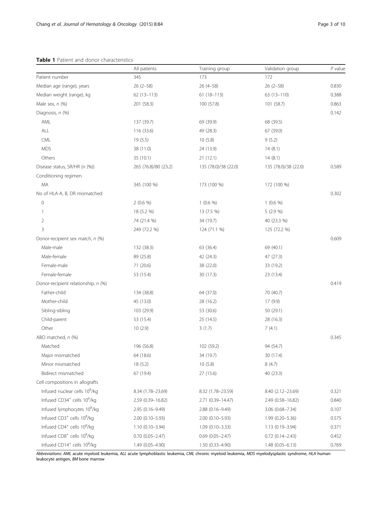## <span id="page-2-0"></span>Table 1 Patient and donor characteristics

|                                                     | All patients         | Training group       | Validation group     | $P$ value |
|-----------------------------------------------------|----------------------|----------------------|----------------------|-----------|
| Patient number                                      | 345                  | 173                  | 172                  |           |
| Median age (range), years                           | $26(2-58)$           | $26(4-58)$           | $26(2-58)$           | 0.830     |
| Median weight (range), kg                           | $62(13-113)$         | $61(18-113)$         | $63(13-110)$         | 0.388     |
| Male sex, $n$ $(\%)$                                | 201 (58.3)           | 100 (57.8)           | 101 (58.7)           | 0.863     |
| Diagnosis, n (%)                                    |                      |                      |                      | 0.142     |
| AML                                                 | 137 (39.7)           | 69 (39.9)            | 68 (39.5)            |           |
| ALL                                                 | 116 (33.6)           | 49 (28.3)            | 67 (39.0)            |           |
| CML                                                 | 19 (5.5)             | 10(5.8)              | 9(5.2)               |           |
| <b>MDS</b>                                          | 38 (11.0)            | 24 (13.9)            | 14(8.1)              |           |
| Others                                              | 35 (10.1)            | 21(12.1)             | 14(8.1)              |           |
| Disease status, SR/HR (n (%))                       | 265 (76.8)/80 (23.2) | 135 (78.0)/38 (22.0) | 135 (78.0)/38 (22.0) | 0.589     |
| Conditioning regimen                                |                      |                      |                      |           |
| MA                                                  | 345 (100 %)          | 173 (100 %)          | 172 (100 %)          |           |
| No of HLA-A, B, DR mismatched                       |                      |                      |                      | 0.302     |
| $\mathbf 0$                                         | $2(0.6\%)$           | $1(0.6\%)$           | $1(0.6\%)$           |           |
| 1                                                   | 18 (5.2 %)           | 13 (7.5 %)           | 5 (2.9 %)            |           |
| 2                                                   | 74 (21.4 %)          | 34 (19.7)            | 40 (23.3 %)          |           |
| 3                                                   | 249 (72.2 %)         | 124 (71.1 %)         | 125 (72.2 %)         |           |
| Donor-recipient sex match, n (%)                    |                      |                      |                      | 0.609     |
| Male-male                                           | 132 (38.3)           | 63 (36.4)            | 69 (40.1)            |           |
| Male-female                                         | 89 (25.8)            | 42 (24.3)            | 47 (27.3)            |           |
| Female-male                                         | 71 (20.6)            | 38 (22.0)            | 33 (19.2)            |           |
| Female-female                                       | 53 (15.4)            | 30 (17.3)            | 23 (13.4)            |           |
| Donor-recipient relationship, n (%)                 |                      |                      |                      | 0.419     |
| Father-child                                        | 134 (38.8)           | 64 (37.0)            | 70 (40.7)            |           |
| Mother-child                                        | 45 (13.0)            | 28 (16.2)            | 17 (9.9)             |           |
| Sibling-sibling                                     | 103 (29.9)           | 53 (30.6)            | 50 (29.1)            |           |
| Child-parent                                        | 53 (15.4)            | 25 (14.5)            | 28 (16.3)            |           |
| Other                                               | 10(2.9)              | 3(1.7)               | 7(4.1)               |           |
| ABO matched, n (%)                                  |                      |                      |                      | 0.345     |
| Matched                                             | 196 (56.8)           | 102 (59.2)           | 94 (54.7)            |           |
| Major mismatched                                    | 64 (18.6)            | 34 (19.7)            | 30 (17.4)            |           |
| Minor mismatched                                    | 18(5.2)              | 10(5.8)              | 8(4.7)               |           |
| Bidirect mismatched                                 | 67 (19.4)            | 27 (15.6)            | 40 (23.3)            |           |
| Cell compositions in allografts                     |                      |                      |                      |           |
| Infused nuclear cells 108/kg                        | 8.34 (1.78-23.69)    | 8.32 (1.78-23.59)    | 8.40 (2.12-23.69)    | 0.321     |
| Infused CD34 <sup>+</sup> cells 10 <sup>6</sup> /kg | 2.59 (0.39-16.82)    | 2.71 (0.39-14.47)    | 2.49 (0.58-16.82)    | 0.840     |
| Infused lymphocytes 10 <sup>8</sup> /kg             | 2.95 (0.16-9.49)     | $2.88(0.16 - 9.49)$  | 3.06 (0.68-7.34)     | 0.107     |
| Infused CD3 <sup>+</sup> cells 10 <sup>8</sup> /kg  | $2.00(0.10 - 5.93)$  | $2.00(0.10 - 5.93)$  | $1.99(0.20 - 5.36)$  | 0.575     |
| Infused CD4 <sup>+</sup> cells 10 <sup>8</sup> /kg  | $1.10(0.10 - 3.94)$  | $1.09(0.10 - 3.33)$  | 1.13 (0.19-3.94)     | 0.371     |
| Infused CD8 <sup>+</sup> cells 10 <sup>8</sup> /kg  | $0.70(0.05 - 2.47)$  | $0.69(0.05 - 2.47)$  | $0.72(0.14 - 2.43)$  | 0.452     |
| Infused CD14 <sup>+</sup> cells 10 <sup>8</sup> /kg | 1.49 (0.05-4.90)     | 1.50 (0.33-4.90)     | $1.48(0.05 - 6.13)$  | 0.769     |

Abbreviations: AML acute myeloid leukemia, ALL acute lymphoblastic leukemia, CML chronic myeloid leukemia, MDS myelodysplastic syndrome, HLA human leukocyte antigen, BM bone marrow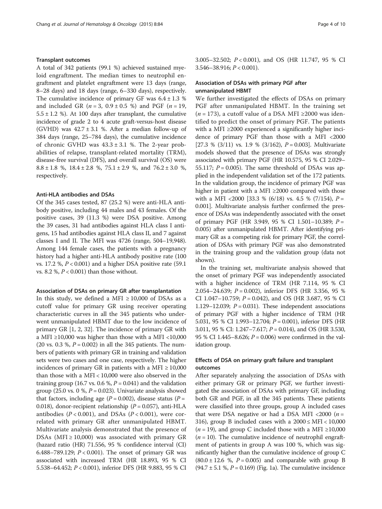#### Transplant outcomes

A total of 342 patients (99.1 %) achieved sustained myeloid engraftment. The median times to neutrophil engraftment and platelet engraftment were 13 days (range, 8–28 days) and 18 days (range, 6–330 days), respectively. The cumulative incidence of primary GF was  $6.4 \pm 1.3$  % and included GR ( $n = 3$ , 0.9  $\pm$  0.5 %) and PGF ( $n = 19$ ,  $5.5 \pm 1.2$  %). At 100 days after transplant, the cumulative incidence of grade 2 to 4 acute graft-versus-host disease (GVHD) was  $42.7 \pm 3.1$  %. After a median follow-up of 384 days (range, 25–784 days), the cumulative incidence of chronic GVHD was  $43.3 \pm 3.1$  %. The 2-year probabilities of relapse, transplant-related mortality (TRM), disease-free survival (DFS), and overall survival (OS) were  $8.8 \pm 1.8$  %,  $18.4 \pm 2.8$  %,  $75.1 \pm 2.9$  %, and  $76.2 \pm 3.0$  %, respectively.

#### Anti-HLA antibodies and DSAs

Of the 345 cases tested, 87 (25.2 %) were anti-HLA antibody positive, including 44 males and 43 females. Of the positive cases, 39 (11.3 %) were DSA positive. Among the 39 cases, 31 had antibodies against HLA class I antigens, 15 had antibodies against HLA class II, and 7 against classes I and II. The MFI was 4726 (range, 504–19,948). Among 144 female cases, the patients with a pregnancy history had a higher anti-HLA antibody positive rate (100 vs. 17.2 %,  $P < 0.001$ ) and a higher DSA positive rate (59.1) vs. 8.2 %,  $P < 0.001$ ) than those without.

#### Association of DSAs on primary GR after transplantation

In this study, we defined a MFI  $\geq$  10,000 of DSAs as a cutoff value for primary GR using receiver operating characteristic curves in all the 345 patients who underwent unmanipulated HBMT due to the low incidence of primary GR [\[1](#page-8-0), [2](#page-8-0), [32](#page-8-0)]. The incidence of primary GR with a MFI  $\geq$ 10,000 was higher than those with a MFI <10,000 (20 vs. 0.3 %,  $P = 0.002$ ) in all the 345 patients. The numbers of patients with primary GR in training and validation sets were two cases and one case, respectively. The higher incidences of primary GR in patients with a MFI  $\geq$  10,000 than those with a MFI < 10,000 were also observed in the training group (16.7 vs. 0.6 %,  $P = 0.041$ ) and the validation group (25.0 vs. 0 %,  $P = 0.023$ ). Univariate analysis showed that factors, including age ( $P = 0.002$ ), disease status ( $P =$ 0.018), donor-recipient relationship ( $P = 0.057$ ), anti-HLA antibodies ( $P < 0.001$ ), and DSAs ( $P < 0.001$ ), were correlated with primary GR after unmanipulated HBMT. Multivariate analysis demonstrated that the presence of DSAs (MFI  $\geq$  10,000) was associated with primary GR (hazard ratio (HR) 71.556, 95 % confidence interval (CI) 6.488–789.129;  $P < 0.001$ ). The onset of primary GR was associated with increased TRM (HR 18.893, 95 % CI 5.538–64.452; P < 0.001), inferior DFS (HR 9.883, 95 % CI 3.005–32.502; P < 0.001), and OS (HR 11.747, 95 % CI  $3.546 - 38.916$ ;  $P < 0.001$ ).

## Association of DSAs with primary PGF after unmanipulated HBMT

We further investigated the effects of DSAs on primary PGF after unmanipulated HBMT. In the training set ( $n = 173$ ), a cutoff value of a DSA MFI ≥2000 was identified to predict the onset of primary PGF. The patients with a MFI ≥2000 experienced a significantly higher incidence of primary PGF than those with a MFI <2000 [27.3 %  $(3/11)$  vs. 1.9 %  $(3/162)$ ,  $P = 0.003$ ]. Multivariate models showed that the presence of DSAs was strongly associated with primary PGF (HR 10.575, 95 % CI 2.029– 55.117;  $P = 0.005$ ). The same threshold of DSAs was applied in the independent validation set of the 172 patients. In the validation group, the incidence of primary PGF was higher in patient with a MFI ≥2000 compared with those with a MFI <2000 [33.3 %  $(6/18)$  vs. 4.5 %  $(7/154)$ ,  $P =$ 0.001]. Multivariate analysis further confirmed the presence of DSAs was independently associated with the onset of primary PGF (HR 3.949, 95 % CI 1.501–10.389;  $P =$ 0.005) after unmanipulated HBMT. After identifying primary GR as a competing risk for primary PGF, the correlation of DSAs with primary PGF was also demonstrated in the training group and the validation group (data not shown).

In the training set, multivariate analysis showed that the onset of primary PGF was independently associated with a higher incidence of TRM (HR 7.114, 95 % CI 2.054–24.639; P = 0.002), inferior DFS (HR 3.356, 95 % CI 1.047-10.759;  $P = 0.042$ ), and OS (HR 3.687, 95 % CI 1.129–12.039;  $P = 0.031$ ). These independent associations of primary PGF with a higher incidence of TRM (HR 5.031, 95 % CI 1.993–12.704; P = 0.001), inferior DFS (HR 3.011, 95 % CI: 1.247–7.617; P = 0.014), and OS (HR 3.530, 95 % CI 1.445–8.626;  $P = 0.006$ ) were confirmed in the validation group.

## Effects of DSA on primary graft failure and transplant outcomes

After separately analyzing the association of DSAs with either primary GR or primary PGF, we further investigated the association of DSAs with primary GF, including both GR and PGF, in all the 345 patients. These patients were classified into three groups, group A included cases that were DSA negative or had a DSA MFI <2000 ( $n =$ 316), group B included cases with a  $2000 \leq \text{MHz} < 10,000$ ( $n = 19$ ), and group C included those with a MFI ≥10,000  $(n = 10)$ . The cumulative incidence of neutrophil engraftment of patients in group A was 100 %, which was significantly higher than the cumulative incidence of group C  $(80.0 \pm 12.6 \%)$ ,  $P = 0.005$  and comparable with group B (94.7  $\pm$  5.1 %, *P* = 0.169) (Fig. [1a](#page-4-0)). The cumulative incidence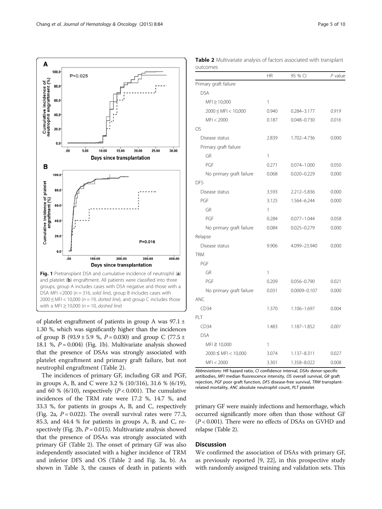<span id="page-4-0"></span>

of platelet engraftment of patients in group A was  $97.1 \pm$ 1.30 %, which was significantly higher than the incidences of group B (93.9  $\pm$  5.9 %, P = 0.030) and group C (77.5  $\pm$ 18.1 %,  $P = 0.004$ ) (Fig. 1b). Multivariate analysis showed that the presence of DSAs was strongly associated with platelet engraftment and primary graft failure, but not neutrophil engraftment (Table 2).

The incidences of primary GF, including GR and PGF, in groups A, B, and C were 3.2 % (10/316), 31.6 % (6/19), and 60 % (6/10), respectively ( $P < 0.001$ ). The cumulative incidences of the TRM rate were 17.2 %, 14.7 %, and 33.3 %, for patients in groups A, B, and C, respectively (Fig. [2a](#page-5-0),  $P = 0.022$ ). The overall survival rates were 77.3, 85.3, and 44.4 % for patients in groups A, B, and C, re-spectively (Fig. [2b](#page-5-0),  $P = 0.015$ ). Multivariate analysis showed that the presence of DSAs was strongly associated with primary GF (Table 2). The onset of primary GF was also independently associated with a higher incidence of TRM and inferior DFS and OS (Table 2 and Fig. [3a, b\)](#page-5-0). As shown in Table [3,](#page-6-0) the causes of death in patients with

|                          | 1111         |                  |       |
|--------------------------|--------------|------------------|-------|
| Primary graft failure    |              |                  |       |
| <b>DSA</b>               |              |                  |       |
| $MFI \ge 10,000$         | 1            |                  |       |
| $2000 \leq MFI < 10,000$ | 0.940        | $0.284 - 3.177$  | 0.919 |
| MFI < 2000               | 0.187        | $0.048 - 0.730$  | 0.016 |
| OS                       |              |                  |       |
| Disease status           | 2.839        | 1.702-4.736      | 0.000 |
| Primary graft failure    |              |                  |       |
| GR                       | 1            |                  |       |
| PGF                      | 0.271        | $0.074 - 1.000$  | 0.050 |
| No primary graft failure | 0.068        | $0.020 - 0.229$  | 0.000 |
| <b>DFS</b>               |              |                  |       |
| Disease status           | 3.593        | 2.212-5.836      | 0.000 |
| PGF                      | 3.125        | 1.564-6.244      | 0.000 |
| GR                       | $\mathbf{1}$ |                  |       |
| PGF                      | 0.284        | $0.077 - 1.044$  | 0.058 |
| No primary graft failure | 0.084        | $0.025 - 0.279$  | 0.000 |
| Relapse                  |              |                  |       |
| Disease status           | 9.906        | 4.099-23.940     | 0.000 |
| <b>TRM</b>               |              |                  |       |
| PGF                      |              |                  |       |
| GR                       | $\mathbf{1}$ |                  |       |
| PGF                      | 0.209        | 0.056-0.790      | 0.021 |
| No primary graft failure | 0.031        | $0.0009 - 0.107$ | 0.000 |
| <b>ANC</b>               |              |                  |       |
| CD34                     | 1.370        | 1.106-1.697      | 0.004 |
| PLT                      |              |                  |       |
| CD34                     | 1.483        | 1.187-1.852      | 0.001 |
| <b>DSA</b>               |              |                  |       |
| MFI ≥ 10,000             | 1            |                  |       |
| $2000 \leq MFI < 10,000$ | 3.074        | 1.137-8.311      | 0.027 |
| MFI < 2000               | 3.301        | 1.358-8.022      | 0.008 |

Table 2 Multivariate analysis of factors associated with transplant outcomes

Abbreviations: HR hazard ratio, CI confidence interval, DSAs donor-specific<br>antibodies, MFI median fluorescence intensity, OS overall survival, GR graft antibodies, MFI median fluorescence intensity, OS overall survival, GR graft<br>rejection, *PGE* poor graft function, DES disease-free survival, TRM transplan rejection, PGF poor graft function, DFS disease-free survival, TRM transplant-<br>related mortality, ANC absolute neutrophil count, PLT platelet related mortality, ANC absolute neutrophil count, PLT platelet

primary GF were mainly infections and hemorrhage, which occurred significantly more often than those without GF  $(P<0.001)$ . There were no effects of DSAs on GVHD and relapse (Table 2).

## **Discussion**

We confirmed the association of DSAs with primary GF, as previously reported [[9, 22\]](#page-8-0), in this prospective study with randomly assigned training and validation sets. This

HR 95 % CI P value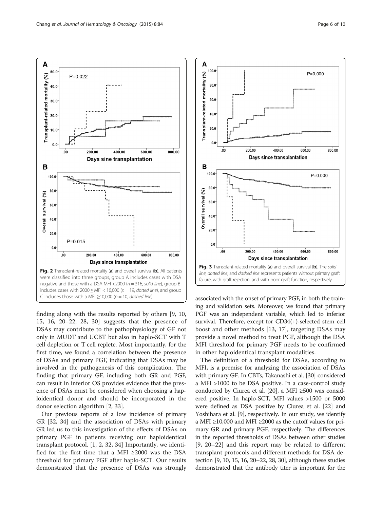<span id="page-5-0"></span>Α

 $(%)$ 

Transplant-related mortality

B

Overall survival (%)

 $50.0$ 

40.0

 $30.0$ 

 $20.0$ 

 $10.0$ 

 $0.0$ 

100.0

80.0

60.0

40.0

20.0

 $0.0$ 

 $P = 0.015$ 

 $\overline{\mathbf{0}}$ 

200.00

400.00

Days sine transplantation

600.00

800.00

 $P = 0.022$ 



DSAs may contribute to the pathophysiology of GF not only in MUDT and UCBT but also in haplo-SCT with T cell depletion or T cell replete. Most importantly, for the first time, we found a correlation between the presence of DSAs and primary PGF, indicating that DSAs may be involved in the pathogenesis of this complication. The finding that primary GF, including both GR and PGF, can result in inferior OS provides evidence that the presence of DSAs must be considered when choosing a haploidentical donor and should be incorporated in the donor selection algorithm [[2, 33\]](#page-8-0).

Our previous reports of a low incidence of primary GR [\[32](#page-8-0), [34\]](#page-8-0) and the association of DSAs with primary GR led us to this investigation of the effects of DSAs on primary PGF in patients receiving our haploidentical transplant protocol. [[1, 2, 32](#page-8-0), [34](#page-8-0)] Importantly, we identified for the first time that a MFI  $\geq$ 2000 was the DSA threshold for primary PGF after haplo-SCT. Our results demonstrated that the presence of DSAs was strongly



associated with the onset of primary PGF, in both the training and validation sets. Moreover, we found that primary PGF was an independent variable, which led to inferior survival. Therefore, except for CD34(+)-selected stem cell boost and other methods [[13, 17\]](#page-8-0), targeting DSAs may provide a novel method to treat PGF, although the DSA MFI threshold for primary PGF needs to be confirmed in other haploidentical transplant modalities.

The definition of a threshold for DSAs, according to MFI, is a premise for analyzing the association of DSAs with primary GF. In CBTs, Takanashi et al. [[30\]](#page-8-0) considered a MFI >1000 to be DSA positive. In a case-control study conducted by Ciurea et al. [[20\]](#page-8-0), a MFI ≥500 was considered positive. In haplo-SCT, MFI values >1500 or 5000 were defined as DSA positive by Ciurea et al. [\[22](#page-8-0)] and Yoshihara et al. [[9](#page-8-0)], respectively. In our study, we identify a MFI ≥10,000 and MFI ≥2000 as the cutoff values for primary GR and primary PGF, respectively. The differences in the reported thresholds of DSAs between other studies [[9](#page-8-0), [20](#page-8-0)–[22\]](#page-8-0) and this report may be related to different transplant protocols and different methods for DSA detection [[9](#page-8-0), [10, 15, 16](#page-8-0), [20](#page-8-0)–[22, 28, 30](#page-8-0)], although these studies demonstrated that the antibody titer is important for the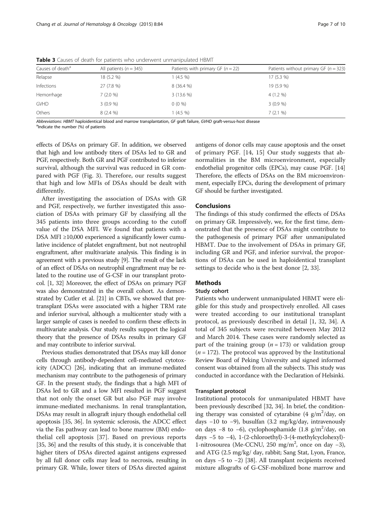| Causes of death <sup>a</sup> | All patients ( $n = 345$ ) | Patients with primary GF $(n = 22)$ | Patients without primary GF ( $n = 323$ ) |
|------------------------------|----------------------------|-------------------------------------|-------------------------------------------|
| Relapse                      | 18 (5.2 %)                 | $1(4.5\%)$                          | 17(5.3%)                                  |
| Infections                   | 27 (7.8 %)                 | 8 (36.4 %)                          | 19 (5.9 %)                                |
| Hemorrhage                   | 7(2.0%                     | $3(13.6\%)$                         | $4(1.2\% )$                               |
| <b>GVHD</b>                  | 3(0.9%                     | $0(0\%)$                            | 3(0.9%                                    |
| Others                       | 8(2.4% )                   | $(4.5\% )$                          | 7(2.1%                                    |

<span id="page-6-0"></span>Table 3 Causes of death for patients who underwent unmanipulated HBMT

Abbreviations: HBMT haploidentical blood and marrow transplantation, GF graft failure, GVHD graft-versus-host disease

 $a$ <sup>a</sup>Indicate the number (%) of patients

effects of DSAs on primary GF. In addition, we observed that high and low antibody titers of DSAs led to GR and PGF, respectively. Both GR and PGF contributed to inferior survival, although the survival was reduced in GR compared with PGF (Fig. [3\)](#page-5-0). Therefore, our results suggest that high and low MFIs of DSAs should be dealt with differently.

After investigating the association of DSAs with GR and PGF, respectively, we further investigated this association of DSAs with primary GF by classifying all the 345 patients into three groups according to the cutoff value of the DSA MFI. We found that patients with a DSA MFI ≥10,000 experienced a significantly lower cumulative incidence of platelet engraftment, but not neutrophil engraftment, after multivariate analysis. This finding is in agreement with a previous study [\[9\]](#page-8-0). The result of the lack of an effect of DSAs on neutrophil engraftment may be related to the routine use of G-CSF in our transplant protocol. [[1, 32\]](#page-8-0) Moreover, the effect of DSAs on primary PGF was also demonstrated in the overall cohort. As demonstrated by Cutler et al. [[21](#page-8-0)] in CBTs, we showed that pretransplant DSAs were associated with a higher TRM rate and inferior survival, although a multicenter study with a larger sample of cases is needed to confirm these effects in multivariate analysis. Our study results support the logical theory that the presence of DSAs results in primary GF and may contribute to inferior survival.

Previous studies demonstrated that DSAs may kill donor cells through antibody-dependent cell-mediated cytotoxicity (ADCC) [\[26\]](#page-8-0), indicating that an immune-mediated mechanism may contribute to the pathogenesis of primary GF. In the present study, the findings that a high MFI of DSAs led to GR and a low MFI resulted in PGF suggest that not only the onset GR but also PGF may involve immune-mediated mechanisms. In renal transplantation, DSAs may result in allograft injury though endothelial cell apoptosis [[35](#page-8-0), [36](#page-8-0)]. In systemic sclerosis, the ADCC effect via the Fas pathway can lead to bone marrow (BM) endothelial cell apoptosis [\[37](#page-8-0)]. Based on previous reports [[35](#page-8-0), [36](#page-8-0)] and the results of this study, it is conceivable that higher titers of DSAs directed against antigens expressed by all full donor cells may lead to necrosis, resulting in primary GR. While, lower titers of DSAs directed against antigens of donor cells may cause apoptosis and the onset of primary PGF. [[14, 15](#page-8-0)] Our study suggests that abnormalities in the BM microenvironment, especially endothelial progenitor cells (EPCs), may cause PGF. [[14](#page-8-0)] Therefore, the effects of DSAs on the BM microenvironment, especially EPCs, during the development of primary GF should be further investigated.

## Conclusions

The findings of this study confirmed the effects of DSAs on primary GR. Impressively, we, for the first time, demonstrated that the presence of DSAs might contribute to the pathogenesis of primary PGF after unmanipulated HBMT. Due to the involvement of DSAs in primary GF, including GR and PGF, and inferior survival, the proportions of DSAs can be used in haploidentical transplant settings to decide who is the best donor [\[2](#page-8-0), [33](#page-8-0)].

## Methods

#### Study cohort

Patients who underwent unmanipulated HBMT were eligible for this study and prospectively enrolled. All cases were treated according to our institutional transplant protocol, as previously described in detail [\[1, 32, 34](#page-8-0)]. A total of 345 subjects were recruited between May 2012 and March 2014. These cases were randomly selected as part of the training group ( $n = 173$ ) or validation group  $(n = 172)$ . The protocol was approved by the Institutional Review Board of Peking University and signed informed consent was obtained from all the subjects. This study was conducted in accordance with the Declaration of Helsinki.

## Transplant protocol

Institutional protocols for unmanipulated HBMT have been previously described [\[32, 34\]](#page-8-0). In brief, the conditioning therapy was consisted of cytarabine (4  $g/m^2$ /day, on days −10 to −9), busulfan (3.2 mg/kg/day, intravenously on days -8 to -6), cyclophosphamide (1.8 g/m<sup>2</sup>/day, on days −5 to −4), 1-(2-chloroethyl)-3-(4-methylcyclohexyl)- 1-nitrosourea (Me-CCNU, 250 mg/m2 , once on day −3), and ATG (2.5 mg/kg/ day, rabbit; Sang Stat, Lyon, France, on days −5 to −2) [[38](#page-8-0)]. All transplant recipients received mixture allografts of G-CSF-mobilized bone marrow and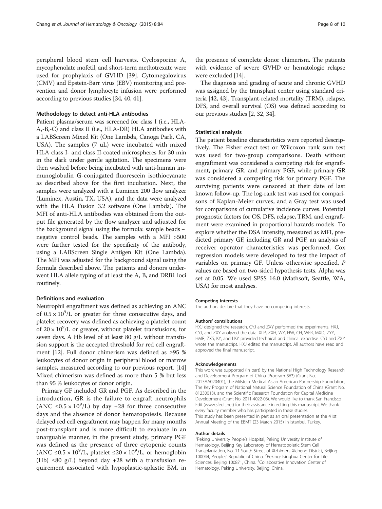peripheral blood stem cell harvests. Cyclosporine A, mycophenolate mofetil, and short-term methotrexate were used for prophylaxis of GVHD [\[39](#page-8-0)]. Cytomegalovirus (CMV) and Epstein-Barr virus (EBV) monitoring and prevention and donor lymphocyte infusion were performed according to previous studies [\[34,](#page-8-0) [40](#page-9-0), [41](#page-9-0)].

#### Methodology to detect anti-HLA antibodies

Patient plasma/serum was screened for class I (i.e., HLA-A,-B,-C) and class II (i.e., HLA-DR) HLA antibodies with a LABScreen Mixed Kit (One Lambda, Canoga Park, CA, USA). The samples (7 uL) were incubated with mixed HLA class I- and class II-coated microspheres for 30 min in the dark under gentle agitation. The specimens were then washed before being incubated with anti-human immunoglobulin G-conjugated fluorescein isothiocyanate as described above for the first incubation. Next, the samples were analyzed with a Luminex 200 flow analyzer (Luminex, Austin, TX, USA), and the data were analyzed with the HLA Fusion 3.2 software (One Lambda). The MFI of anti-HLA antibodies was obtained from the output file generated by the flow analyzer and adjusted for the background signal using the formula: sample beads − negative control beads. The samples with a MFI >500 were further tested for the specificity of the antibody, using a LABScreen Single Antigen Kit (One Lambda). The MFI was adjusted for the background signal using the formula described above. The patients and donors underwent HLA allele typing of at least the A, B, and DRB1 loci routinely.

## Definitions and evaluation

Neutrophil engraftment was defined as achieving an ANC of  $0.5 \times 10^9$ /L or greater for three consecutive days, and platelet recovery was defined as achieving a platelet count of  $20 \times 10^9$ /L or greater, without platelet transfusions, for seven days. A Hb level of at least 80 g/L without transfusion support is the accepted threshold for red cell engraftment [\[12\]](#page-8-0). Full donor chimerism was defined as ≥95 % leukocytes of donor origin in peripheral blood or marrow samples, measured according to our previous report. [[14](#page-8-0)] Mixed chimerism was defined as more than 5 % but less than 95 % leukocytes of donor origin.

Primary GF included GR and PGF. As described in the introduction, GR is the failure to engraft neutrophils (ANC  $\leq 0.5 \times 10^9$ /L) by day +28 for three consecutive days and the absence of donor hematopoiesis. Because delayed red cell engraftment may happen for many months post-transplant and is more difficult to evaluate in an unarguable manner, in the present study, primary PGF was defined as the presence of three cytopenic counts (ANC ≤0.5 × 10<sup>9</sup>/L, platelet ≤20 × 10<sup>9</sup>/L, or hemoglobin (Hb)  $\leq 80$  g/L) beyond day +28 with a transfusion requirement associated with hypoplastic-aplastic BM, in

the presence of complete donor chimerism. The patients with evidence of severe GVHD or hematologic relapse were excluded [[14](#page-8-0)].

The diagnosis and grading of acute and chronic GVHD was assigned by the transplant center using standard criteria [\[42, 43](#page-9-0)]. Transplant-related mortality (TRM), relapse, DFS, and overall survival (OS) was defined according to our previous studies [\[2](#page-8-0), [32](#page-8-0), [34\]](#page-8-0).

#### Statistical analysis

The patient baseline characteristics were reported descriptively. The Fisher exact test or Wilcoxon rank sum test was used for two-group comparisons. Death without engraftment was considered a competing risk for engraftment, primary GR, and primary PGF, while primary GR was considered a competing risk for primary PGF. The surviving patients were censored at their date of last known follow-up. The log-rank test was used for comparisons of Kaplan-Meier curves, and a Gray test was used for comparisons of cumulative incidence curves. Potential prognostic factors for OS, DFS, relapse, TRM, and engraftment were examined in proportional hazards models. To explore whether the DSA intensity, measured as MFI, predicted primary GF, including GR and PGF, an analysis of receiver operator characteristics was performed. Cox regression models were developed to test the impact of variables on primary GF. Unless otherwise specified, P values are based on two-sided hypothesis tests. Alpha was set at 0.05. We used SPSS 16.0 (Mathsoft, Seattle, WA, USA) for most analyses.

#### Competing interests

The authors declare that they have no competing interests.

#### Authors' contributions

HXJ designed the research. CYJ and ZXY performed the experiments. HXJ, CYJ, and ZXY analyzed the data. XLP, ZXH, WY, HW, CH, WFR, MXD, ZYY, HMR, ZXS, KY, and LKY provided technical and clinical expertise. CYJ and ZXY wrote the manuscript. HXJ edited the manuscript. All authors have read and approved the final manuscript.

#### Acknowledgements

This work was supported (in part) by the National High Technology Research and Development Program of China (Program 863) (Grant No. 2013AA020401), the Milstein Medical Asian American Partnership Foundation, The Key Program of National Natural Science Foundation of China (Grant No. 81230013), and the Scientific Research Foundation for Capital Medicine Development (Grant No. 2011-4022-08). We would like to thank San Francisco Edit ([www.sfedit.net](http://www.sfedit.net/)) for their assistance in editing this manuscript. We thank every faculty member who has participated in these studies. This study has been presented in part as an oral presentation at the 41st Annual Meeting of the EBMT (23 March 2015) in Istanbul, Turkey.

#### Author details

<sup>1</sup> Peking University People's Hospital, Peking University Institute of Hematology, Beijing Key Laboratory of Hematopoietic Stem Cell Transplantation, No. 11 South Street of Xizhimen, Xicheng District, Beijing 100044, Peoples' Republic of China. <sup>2</sup> Peking-Tsinghua Center for Life Sciences, Beijing 100871, China. <sup>3</sup>Collaborative Innovation Center of Hematology, Peking University, Beijing, China.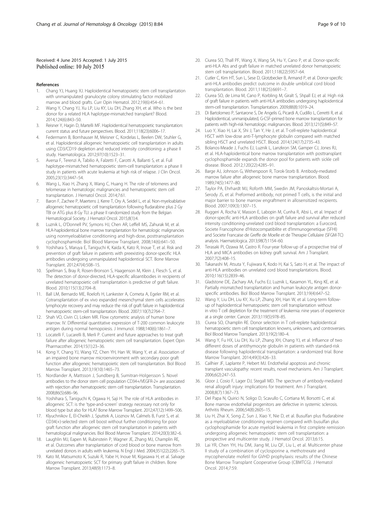## <span id="page-8-0"></span>Received: 4 June 2015 Accepted: 1 July 2015 Published online: 10 July 2015

#### References

- 1. Chang YJ, Huang XJ. Haploidentical hematopoietic stem cell transplantation with unmanipulated granulocyte colony stimulating factor mobilized marrow and blood grafts. Curr Opin Hematol. 2012;19(6):454–61.
- 2. Wang Y, Chang YJ, Xu LP, Liu KY, Liu DH, Zhang XH, et al. Who is the best donor for a related HLA haplotype-mismatched transplant? Blood. 2014;124(6):843–50.
- 3. Reisner Y, Hagin D, Martelli MF. Haploidentical hematopoietic transplantation: current status and future perspectives. Blood. 2011;118(23):6006–17.
- 4. Federmann B, Bornhauser M, Meisner C, Kordelas L, Beelen DW, Stuhler G, et al. Haploidentical allogeneic hematopoietic cell transplantation in adults using CD3/CD19 depletion and reduced intensity conditioning: a phase II study. Haematologica. 2012;97(10):1523–31.
- 5. Aversa F, Terenzi A, Tabilio A, Falzetti F, Carotti A, Ballanti S, et al. Full haplotype-mismatched hematopoietic stem-cell transplantation: a phase II study in patients with acute leukemia at high risk of relapse. J Clin Oncol. 2005;23(15):3447–54.
- 6. Wang L, Xiao H, Zhang X, Wang C, Huang H. The role of telomeres and telomerase in hematologic malignancies and hematopoietic stem cell transplantation. J Hematol Oncol. 2014;7:61.
- 7. Baron F, Zachee P, Maertens J, Kerre T, Ory A, Seidel L, et al. Non-myeloablative allogeneic hematopoietic cell transplantation following fludarabine plus 2 Gy TBI or ATG plus 8 Gy TLI: a phase II randomized study from the Belgian Hematological Society. J Hematol Oncol. 2015;8(1):4.
- 8. Luznik L, O'Donnell PV, Symons HJ, Chen AR, Leffell MS, Zahurak M, et al. HLA-haploidentical bone marrow transplantation for hematologic malignancies using nonmyeloablative conditioning and high-dose, posttransplantation cyclophosphamide. Biol Blood Marrow Transplant. 2008;14(6):641–50.
- Yoshihara S, Maruya E, Taniguchi K, Kaida K, Kato R, Inoue T, et al. Risk and prevention of graft failure in patients with preexisting donor-specific HLA antibodies undergoing unmanipulated haploidentical SCT. Bone Marrow Transplant. 2012;47(4):508–15.
- 10. Spellman S, Bray R, Rosen-Bronson S, Haagenson M, Klein J, Flesch S, et al. The detection of donor-directed, HLA-specific alloantibodies in recipients of unrelated hematopoietic cell transplantation is predictive of graft failure. Blood. 2010;115(13):2704–8.
- 11. Ball LM, Bernardo ME, Roelofs H, Lankester A, Cometa A, Egeler RM, et al. Cotransplantation of ex vivo expanded mesenchymal stem cells accelerates lymphocyte recovery and may reduce the risk of graft failure in haploidentical hematopoietic stem-cell transplantation. Blood. 2007;110(7):2764–7.
- 12. Shah VO, Civin CI, Loken MR. Flow cytometric analysis of human bone marrow. IV. Differential quantitative expression of T-200 common leukocyte antigen during normal hemopoiesis. J Immunol. 1988;140(6):1861–7.
- 13. Locatelli F, Lucarelli B, Merli P. Current and future approaches to treat graft failure after allogeneic hematopoietic stem cell transplantation. Expert Opin Pharmacother. 2014;15(1):23–36.
- 14. Kong Y, Chang YJ, Wang YZ, Chen YH, Han W, Wang Y, et al. Association of an impaired bone marrow microenvironment with secondary poor graft function after allogeneic hematopoietic stem cell transplantation. Biol Blood Marrow Transplant. 2013;19(10):1465–73.
- 15. Nordlander A, Mattsson J, Sundberg B, Sumitran-Holgersson S. Novel antibodies to the donor stem cell population CD34+/VEGFR-2+ are associated with rejection after hematopoietic stem cell transplantation. Transplantation. 2008;86(5):686–96.
- 16. Yoshihara S, Taniguchi K, Ogawa H, Saji H. The role of HLA antibodies in allogeneic SCT: is the 'type-and-screen' strategy necessary not only for blood type but also for HLA? Bone Marrow Transplant. 2012;47(12):1499–506.
- 17. Klyuchnikov E, El-Cheikh J, Sputtek A, Lioznov M, Calmels B, Furst S, et al. CD34(+)-selected stem cell boost without further conditioning for poor graft function after allogeneic stem cell transplantation in patients with hematological malignancies. Biol Blood Marrow Transplant. 2014;20(3):382–6.
- 18. Laughlin MJ, Eapen M, Rubinstein P, Wagner JE, Zhang MJ, Champlin RE, et al. Outcomes after transplantation of cord blood or bone marrow from unrelated donors in adults with leukemia. N Engl J Med. 2004;351(22):2265–75.
- 19. Kato M, Matsumoto K, Suzuki R, Yabe H, Inoue M, Kigasawa H, et al. Salvage allogeneic hematopoietic SCT for primary graft failure in children. Bone Marrow Transplant. 2013;48(9):1173–8.
- 20. Ciurea SO, Thall PF, Wang X, Wang SA, Hu Y, Cano P, et al. Donor-specific anti-HLA Abs and graft failure in matched unrelated donor hematopoietic stem cell transplantation. Blood. 2011;118(22):5957–64.
- 21. Cutler C, Kim HT, Sun L, Sese D, Glotzbecker B, Armand P, et al. Donor-specific anti-HLA antibodies predict outcome in double umbilical cord blood transplantation. Blood. 2011;118(25):6691–7.
- 22. Ciurea SO, de Lima M, Cano P, Korbling M, Giralt S, Shpall EJ, et al. High risk of graft failure in patients with anti-HLA antibodies undergoing haploidentical stem-cell transplantation. Transplantation. 2009;88(8):1019–24.
- 23. Di Bartolomeo P, Santarone S, De Angelis G, Picardi A, Cudillo L, Cerretti R, et al. Haploidentical, unmanipulated, G-CSF-primed bone marrow transplantation for patients with high-risk hematologic malignancies. Blood. 2013;121(5):849–57.
- 24. Luo Y, Xiao H, Lai X, Shi J, Tan Y, He J, et al. T-cell-replete haploidentical HSCT with low-dose anti-T-lymphocyte globulin compared with matched sibling HSCT and unrelated HSCT. Blood. 2014;124(17):2735–43.
- 25. Bolanos-Meade J, Fuchs EJ, Luznik L, Lanzkron SM, Gamper CJ, Jones RJ, et al. HLA-haploidentical bone marrow transplantation with posttransplant cyclophosphamide expands the donor pool for patients with sickle cell disease. Blood. 2012;120(22):4285–91.
- 26. Barge AJ, Johnson G, Witherspoon R, Torok-Storb B. Antibody-mediated marrow failure after allogeneic bone marrow transplantation. Blood. 1989;74(5):1477–80.
- 27. Taylor PA, Ehrhardt MJ, Roforth MM, Swedin JM, Panoskaltsis-Mortari A, Serody JS, et al. Preformed antibody, not primed T cells, is the initial and major barrier to bone marrow engraftment in allosensitized recipients. Blood. 2007;109(3):1307–15.
- 28. Ruggeri A, Rocha V, Masson E, Labopin M, Cunha R, Absi L, et al. Impact of donor-specific anti-HLA antibodies on graft failure and survival after reduced intensity conditioning-unrelated cord blood transplantation: a Eurocord, Societe Francophone d'Histocompatibilite et d'Immunogenetique (SFHI) and Societe Francaise de Greffe de Moelle et de Therapie Cellulaire (SFGM-TC) analysis. Haematologica. 2013;98(7):1154–60.
- 29. Terasaki PI, Ozawa M, Castro R. Four-year follow-up of a prospective trial of HLA and MICA antibodies on kidney graft survival. Am J Transplant. 2007;7(2):408–15.
- 30. Takanashi M, Atsuta Y, Fujiwara K, Kodo H, Kai S, Sato H, et al. The impact of anti-HLA antibodies on unrelated cord blood transplantations. Blood. 2010;116(15):2839–46.
- 31. Gladstone DE, Zachary AA, Fuchs EJ, Luznik L, Kasamon YL, King KE, et al. Partially mismatched transplantation and human leukocyte antigen donorspecific antibodies. Biol Blood Marrow Transplant. 2013;19(4):647–52.
- 32. Wang Y, Liu DH, Liu KY, Xu LP, Zhang XH, Han W, et al. Long-term followup of haploidentical hematopoietic stem cell transplantation without in vitro T cell depletion for the treatment of leukemia: nine years of experience at a single center. Cancer. 2013;119(5):978–85.
- 33. Ciurea SO, Champlin RE. Donor selection in T cell-replete haploidentical hematopoietic stem cell transplantation: knowns, unknowns, and controversies. Biol Blood Marrow Transplant. 2013;19(2):180–4.
- 34. Wang Y, Fu HX, Liu DH, Xu LP, Zhang XH, Chang YJ, et al. Influence of two different doses of antithymocyte globulin in patients with standard-risk disease following haploidentical transplantation: a randomized trial. Bone Marrow Transplant. 2014;49(3):426–33.
- 35. Cailhier JF, Laplante P, Hebert MJ. Endothelial apoptosis and chronic transplant vasculopathy: recent results, novel mechanisms. Am J Transplant. 2006;6(2):247–53.
- 36. Gloor J, Cosio F, Lager DJ, Stegall MD. The spectrum of antibody-mediated renal allograft injury: implications for treatment. Am J Transplant. 2008;8(7):1367–73.
- 37. Del Papa N, Quirici N, Soligo D, Scavullo C, Cortiana M, Borsotti C, et al. Bone marrow endothelial progenitors are defective in systemic sclerosis. Arthritis Rheum. 2006;54(8):2605–15.
- 38. Liu H, Zhai X, Song Z, Sun J, Xiao Y, Nie D, et al. Busulfan plus fludarabine as a myeloablative conditioning regimen compared with busulfan plus cyclophosphamide for acute myeloid leukemia in first complete remission undergoing allogeneic hematopoietic stem cell transplantation: a prospective and multicenter study. J Hematol Oncol. 2013;6:15.
- 39. Lai YR, Chen YH, Hu DM, Jiang M, Liu QF, Liu L, et al. Multicenter phase II study of a combination of cyclosporine a, methotrexate and mycophenolate mofetil for GVHD prophylaxis: results of the Chinese Bone Marrow Transplant Cooperative Group (CBMTCG). J Hematol Oncol. 2014;7:59.